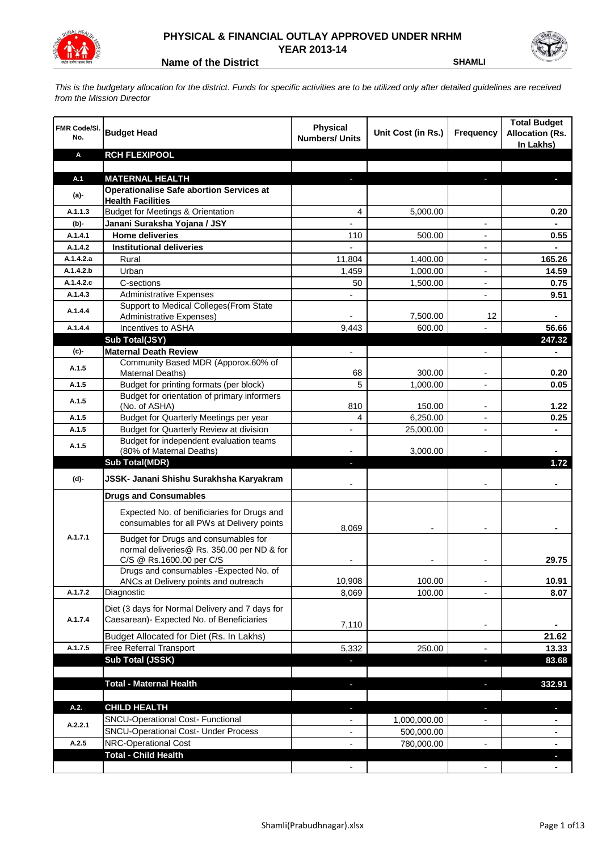

## **PHYSICAL & FINANCIAL OUTLAY APPROVED UNDER NRHM YEAR 2013-14**

**Name of the District SHAMLI** 

*This is the budgetary allocation for the district. Funds for specific activities are to be utilized only after detailed guidelines are received from the Mission Director*

| <b>FMR Code/SI.</b><br>No. | <b>Budget Head</b>                                                                           | Physical<br><b>Numbers/ Units</b> | Unit Cost (in Rs.) | Frequency                | <b>Total Budget</b><br><b>Allocation (Rs.</b><br>In Lakhs) |
|----------------------------|----------------------------------------------------------------------------------------------|-----------------------------------|--------------------|--------------------------|------------------------------------------------------------|
| Α                          | <b>RCH FLEXIPOOL</b>                                                                         |                                   |                    |                          |                                                            |
|                            |                                                                                              |                                   |                    |                          |                                                            |
| A.1                        | <b>MATERNAL HEALTH</b>                                                                       |                                   |                    |                          |                                                            |
| $(a)$ -                    | <b>Operationalise Safe abortion Services at</b><br><b>Health Facilities</b>                  |                                   |                    |                          |                                                            |
| A.1.1.3                    | <b>Budget for Meetings &amp; Orientation</b>                                                 | 4                                 | 5,000.00           |                          | 0.20                                                       |
| (b)-                       | Janani Suraksha Yojana / JSY                                                                 | ۰                                 |                    | $\overline{\phantom{a}}$ |                                                            |
| A.1.4.1                    | <b>Home deliveries</b>                                                                       | 110                               | 500.00             |                          | 0.55                                                       |
| A.1.4.2                    | <b>Institutional deliveries</b>                                                              |                                   |                    |                          |                                                            |
| A.1.4.2.a                  | Rural                                                                                        | 11,804                            | 1,400.00           |                          | 165.26                                                     |
| A.1.4.2.b                  | Urban                                                                                        | 1,459                             | 1,000.00           |                          | 14.59                                                      |
| A.1.4.2.c                  | C-sections                                                                                   | 50                                | 1,500.00           |                          | 0.75                                                       |
| A.1.4.3                    | <b>Administrative Expenses</b>                                                               |                                   |                    |                          | 9.51                                                       |
| A.1.4.4                    | Support to Medical Colleges (From State                                                      |                                   |                    |                          |                                                            |
|                            | <b>Administrative Expenses)</b>                                                              |                                   | 7,500.00           | 12                       |                                                            |
| A.1.4.4                    | Incentives to ASHA                                                                           | 9,443                             | 600.00             |                          | 56.66                                                      |
|                            | Sub Total(JSY)                                                                               |                                   |                    |                          | 247.32                                                     |
| (c)-                       | <b>Maternal Death Review</b>                                                                 | $\overline{\phantom{a}}$          |                    | $\overline{\phantom{a}}$ | ٠                                                          |
| A.1.5                      | Community Based MDR (Apporox.60% of<br>Maternal Deaths)                                      | 68                                | 300.00             | $\overline{\phantom{a}}$ | 0.20                                                       |
| A.1.5                      | Budget for printing formats (per block)                                                      | 5                                 | 1,000.00           | $\overline{a}$           | 0.05                                                       |
|                            | Budget for orientation of primary informers                                                  |                                   |                    |                          |                                                            |
| A.1.5                      | (No. of ASHA)                                                                                | 810                               | 150.00             | $\overline{\phantom{a}}$ | 1.22                                                       |
| A.1.5                      | Budget for Quarterly Meetings per year                                                       | 4                                 | 6,250.00           | $\overline{\phantom{a}}$ | 0.25                                                       |
| A.1.5                      | Budget for Quarterly Review at division                                                      |                                   | 25,000.00          |                          |                                                            |
| A.1.5                      | Budget for independent evaluation teams                                                      |                                   |                    |                          |                                                            |
|                            | (80% of Maternal Deaths)                                                                     |                                   | 3,000.00           |                          |                                                            |
|                            | <b>Sub Total(MDR)</b>                                                                        |                                   |                    |                          | 1.72                                                       |
| (d)-                       | JSSK- Janani Shishu Surakhsha Karyakram                                                      |                                   |                    |                          |                                                            |
|                            | <b>Drugs and Consumables</b>                                                                 |                                   |                    |                          |                                                            |
|                            | Expected No. of benificiaries for Drugs and<br>consumables for all PWs at Delivery points    | 8,069                             |                    |                          |                                                            |
| A.1.7.1                    | Budget for Drugs and consumables for                                                         |                                   |                    |                          |                                                            |
|                            | normal deliveries@ Rs. 350.00 per ND & for                                                   |                                   |                    |                          |                                                            |
|                            | C/S @ Rs.1600.00 per C/S<br>Drugs and consumables - Expected No. of                          |                                   |                    |                          | 29.75                                                      |
|                            | ANCs at Delivery points and outreach                                                         | 10,908                            | 100.00             |                          | 10.91                                                      |
| A.1.7.2                    | Diagnostic                                                                                   | 8,069                             | 100.00             | $\overline{\phantom{a}}$ | 8.07                                                       |
|                            |                                                                                              |                                   |                    |                          |                                                            |
| A.1.7.4                    | Diet (3 days for Normal Delivery and 7 days for<br>Caesarean)- Expected No. of Beneficiaries |                                   |                    |                          |                                                            |
|                            |                                                                                              | 7,110                             |                    | $\overline{\phantom{a}}$ |                                                            |
|                            | Budget Allocated for Diet (Rs. In Lakhs)                                                     |                                   |                    |                          | 21.62                                                      |
| A.1.7.5                    | Free Referral Transport                                                                      | 5,332                             | 250.00             | $\overline{\phantom{a}}$ | 13.33                                                      |
|                            | <b>Sub Total (JSSK)</b>                                                                      | ٠                                 |                    | ٠                        | 83.68                                                      |
|                            |                                                                                              |                                   |                    |                          |                                                            |
|                            | <b>Total - Maternal Health</b>                                                               | ÷,                                |                    | ٠                        | 332.91                                                     |
| A.2.                       | <b>CHILD HEALTH</b>                                                                          | ٠                                 |                    | ٠                        | ٠                                                          |
|                            | SNCU-Operational Cost- Functional                                                            |                                   | 1,000,000.00       |                          |                                                            |
| A.2.2.1                    | SNCU-Operational Cost- Under Process                                                         |                                   | 500,000.00         |                          |                                                            |
| A.2.5                      | NRC-Operational Cost                                                                         |                                   | 780,000.00         |                          |                                                            |
|                            | <b>Total - Child Health</b>                                                                  |                                   |                    |                          |                                                            |
|                            |                                                                                              |                                   |                    |                          |                                                            |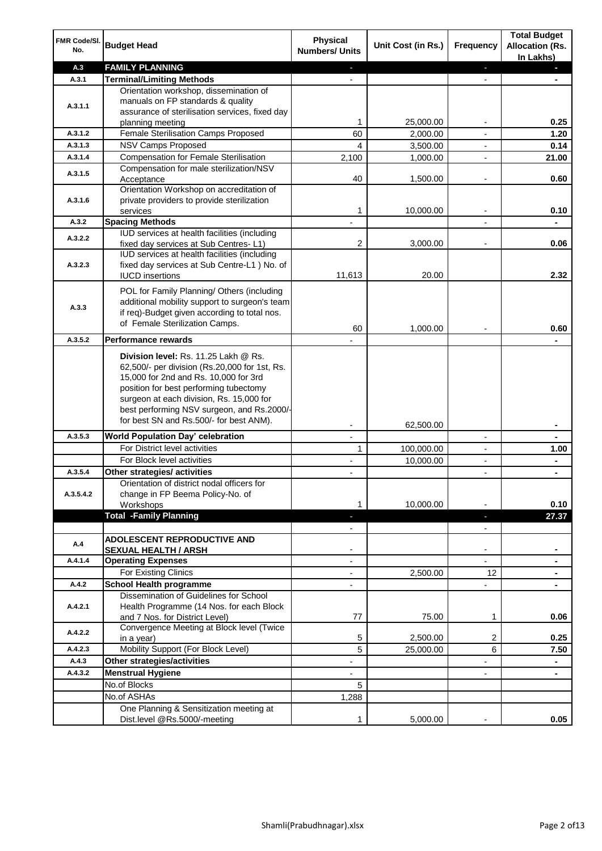| FMR Code/SI.<br>No.  | <b>Budget Head</b>                                                                                                                                                                                                                                                                                            | Physical<br><b>Numbers/ Units</b> | Unit Cost (in Rs.) | <b>Frequency</b>         | <b>Total Budget</b><br><b>Allocation (Rs.</b><br>In Lakhs) |
|----------------------|---------------------------------------------------------------------------------------------------------------------------------------------------------------------------------------------------------------------------------------------------------------------------------------------------------------|-----------------------------------|--------------------|--------------------------|------------------------------------------------------------|
| A.3                  | <b>FAMILY PLANNING</b>                                                                                                                                                                                                                                                                                        | $\sim$                            |                    | $\blacksquare$           | $\sim$                                                     |
| A.3.1                | <b>Terminal/Limiting Methods</b>                                                                                                                                                                                                                                                                              |                                   |                    |                          |                                                            |
| A.3.1.1              | Orientation workshop, dissemination of<br>manuals on FP standards & quality<br>assurance of sterilisation services, fixed day<br>planning meeting                                                                                                                                                             | 1                                 | 25,000.00          | $\overline{\phantom{a}}$ | 0.25                                                       |
| A.3.1.2              | Female Sterilisation Camps Proposed                                                                                                                                                                                                                                                                           | 60                                | 2,000.00           |                          | 1.20                                                       |
| A.3.1.3              | <b>NSV Camps Proposed</b>                                                                                                                                                                                                                                                                                     | 4                                 | 3,500.00           |                          | 0.14                                                       |
| A.3.1.4              | <b>Compensation for Female Sterilisation</b>                                                                                                                                                                                                                                                                  | 2,100                             | 1,000.00           | $\overline{\phantom{a}}$ | 21.00                                                      |
| A.3.1.5              | Compensation for male sterilization/NSV                                                                                                                                                                                                                                                                       |                                   |                    |                          |                                                            |
|                      | Acceptance<br>Orientation Workshop on accreditation of                                                                                                                                                                                                                                                        | 40                                | 1,500.00           |                          | 0.60                                                       |
| A.3.1.6              | private providers to provide sterilization                                                                                                                                                                                                                                                                    |                                   |                    |                          |                                                            |
|                      | services                                                                                                                                                                                                                                                                                                      | 1                                 | 10,000.00          | $\blacksquare$           | 0.10                                                       |
| A.3.2                | <b>Spacing Methods</b>                                                                                                                                                                                                                                                                                        |                                   |                    |                          | ä,                                                         |
| A.3.2.2              | IUD services at health facilities (including<br>fixed day services at Sub Centres-L1)                                                                                                                                                                                                                         | 2                                 | 3,000.00           | $\overline{\phantom{a}}$ | 0.06                                                       |
| A.3.2.3              | IUD services at health facilities (including<br>fixed day services at Sub Centre-L1 ) No. of<br><b>IUCD</b> insertions                                                                                                                                                                                        | 11,613                            | 20.00              |                          | 2.32                                                       |
|                      |                                                                                                                                                                                                                                                                                                               |                                   |                    |                          |                                                            |
| A.3.3                | POL for Family Planning/ Others (including<br>additional mobility support to surgeon's team<br>if req)-Budget given according to total nos.<br>of Female Sterilization Camps.                                                                                                                                 | 60                                | 1,000.00           |                          | 0.60                                                       |
| A.3.5.2              | <b>Performance rewards</b>                                                                                                                                                                                                                                                                                    |                                   |                    |                          |                                                            |
|                      | Division level: Rs. 11.25 Lakh @ Rs.<br>62,500/- per division (Rs.20,000 for 1st, Rs.<br>15,000 for 2nd and Rs. 10,000 for 3rd<br>position for best performing tubectomy<br>surgeon at each division, Rs. 15,000 for<br>best performing NSV surgeon, and Rs.2000/-<br>for best SN and Rs.500/- for best ANM). |                                   |                    |                          |                                                            |
|                      |                                                                                                                                                                                                                                                                                                               |                                   | 62,500.00          |                          |                                                            |
| A.3.5.3              | World Population Day' celebration                                                                                                                                                                                                                                                                             |                                   |                    |                          |                                                            |
|                      | For District level activities                                                                                                                                                                                                                                                                                 | 1                                 | 100,000.00         |                          | 1.00                                                       |
|                      | For Block level activities                                                                                                                                                                                                                                                                                    |                                   | 10,000.00          | $\blacksquare$           | ۰                                                          |
| A.3.5.4<br>A.3.5.4.2 | Other strategies/ activities<br>Orientation of district nodal officers for<br>change in FP Beema Policy-No. of<br>Workshops                                                                                                                                                                                   | 1                                 | 10,000.00          |                          | 0.10                                                       |
|                      | <b>Total -Family Planning</b>                                                                                                                                                                                                                                                                                 | $\overline{\phantom{a}}$          |                    | ٠                        | 27.37                                                      |
| A.4                  | ADOLESCENT REPRODUCTIVE AND                                                                                                                                                                                                                                                                                   | $\overline{\phantom{a}}$          |                    | $\overline{\phantom{a}}$ |                                                            |
|                      | <b>SEXUAL HEALTH / ARSH</b>                                                                                                                                                                                                                                                                                   |                                   |                    | $\blacksquare$           |                                                            |
| A.4.1.4              | <b>Operating Expenses</b><br>For Existing Clinics                                                                                                                                                                                                                                                             | $\blacksquare$                    | 2,500.00           | 12                       |                                                            |
| A.4.2                | <b>School Health programme</b>                                                                                                                                                                                                                                                                                | $\blacksquare$                    |                    | $\overline{a}$           | ۰                                                          |
|                      | Dissemination of Guidelines for School                                                                                                                                                                                                                                                                        |                                   |                    |                          |                                                            |
| A.4.2.1              | Health Programme (14 Nos. for each Block<br>and 7 Nos. for District Level)                                                                                                                                                                                                                                    | 77                                | 75.00              | 1                        | 0.06                                                       |
| A.4.2.2              | Convergence Meeting at Block level (Twice<br>in a year)                                                                                                                                                                                                                                                       | 5                                 | 2,500.00           | 2                        | 0.25                                                       |
| A.4.2.3              | Mobility Support (For Block Level)                                                                                                                                                                                                                                                                            | 5                                 | 25,000.00          | 6                        | 7.50                                                       |
| A.4.3                | Other strategies/activities                                                                                                                                                                                                                                                                                   | ٠                                 |                    | -                        | ۰                                                          |
| A.4.3.2              | <b>Menstrual Hygiene</b>                                                                                                                                                                                                                                                                                      | $\overline{\phantom{0}}$          |                    | ٠                        | ۰                                                          |
|                      | No.of Blocks                                                                                                                                                                                                                                                                                                  | 5                                 |                    |                          |                                                            |
|                      | No.of ASHAs                                                                                                                                                                                                                                                                                                   | 1,288                             |                    |                          |                                                            |
|                      | One Planning & Sensitization meeting at                                                                                                                                                                                                                                                                       |                                   |                    |                          |                                                            |
|                      | Dist.level @Rs.5000/-meeting                                                                                                                                                                                                                                                                                  | 1                                 | 5,000.00           |                          | 0.05                                                       |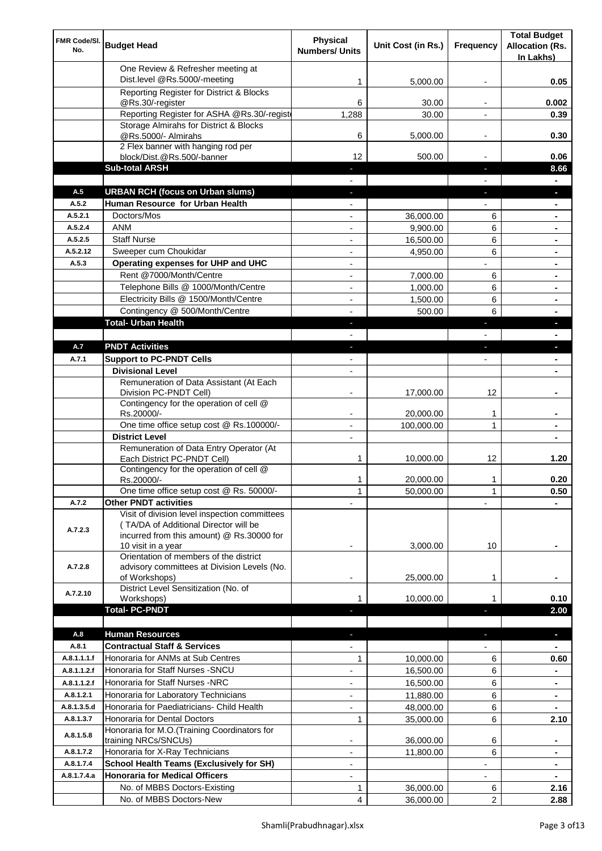| FMR Code/SI.<br>No. | <b>Budget Head</b>                                                                                                                                        | Physical<br><b>Numbers/ Units</b> | Unit Cost (in Rs.) | Frequency                | <b>Total Budget</b><br><b>Allocation (Rs.</b><br>In Lakhs) |
|---------------------|-----------------------------------------------------------------------------------------------------------------------------------------------------------|-----------------------------------|--------------------|--------------------------|------------------------------------------------------------|
|                     | One Review & Refresher meeting at<br>Dist.level @Rs.5000/-meeting                                                                                         | 1                                 | 5,000.00           |                          | 0.05                                                       |
|                     | Reporting Register for District & Blocks                                                                                                                  |                                   |                    |                          |                                                            |
|                     | @Rs.30/-register                                                                                                                                          | 6                                 | 30.00              |                          | 0.002                                                      |
|                     | Reporting Register for ASHA @Rs.30/-regist                                                                                                                | 1,288                             | 30.00              |                          | 0.39                                                       |
|                     | Storage Almirahs for District & Blocks<br>@Rs.5000/- Almirahs                                                                                             | 6                                 | 5,000.00           | $\overline{\phantom{a}}$ | 0.30                                                       |
|                     | 2 Flex banner with hanging rod per                                                                                                                        |                                   |                    |                          |                                                            |
|                     | block/Dist.@Rs.500/-banner                                                                                                                                | 12                                | 500.00             |                          | 0.06                                                       |
|                     | <b>Sub-total ARSH</b>                                                                                                                                     |                                   |                    | $\sim$                   | 8.66                                                       |
| A.5                 | <b>URBAN RCH (focus on Urban slums)</b>                                                                                                                   |                                   |                    |                          |                                                            |
| A.5.2               | Human Resource for Urban Health                                                                                                                           |                                   |                    |                          |                                                            |
| A.5.2.1             | Doctors/Mos                                                                                                                                               |                                   | 36,000.00          | 6                        |                                                            |
| A.5.2.4             | <b>ANM</b>                                                                                                                                                | $\overline{a}$                    | 9,900.00           | 6                        |                                                            |
| A.5.2.5<br>A.5.2.12 | <b>Staff Nurse</b><br>Sweeper cum Choukidar                                                                                                               | $\overline{a}$                    | 16,500.00          | 6                        |                                                            |
| A.5.3               | Operating expenses for UHP and UHC                                                                                                                        | $\overline{a}$<br>$\blacksquare$  | 4,950.00           | 6                        |                                                            |
|                     | Rent @7000/Month/Centre                                                                                                                                   | $\overline{\phantom{a}}$          | 7,000.00           | 6                        | $\blacksquare$                                             |
|                     | Telephone Bills @ 1000/Month/Centre                                                                                                                       | $\blacksquare$                    | 1,000.00           | 6                        | ۰                                                          |
|                     | Electricity Bills @ 1500/Month/Centre                                                                                                                     | $\overline{\phantom{a}}$          | 1,500.00           | 6                        | ٠                                                          |
|                     | Contingency @ 500/Month/Centre                                                                                                                            | $\overline{\phantom{a}}$          | 500.00             | 6                        | $\blacksquare$                                             |
|                     | <b>Total- Urban Health</b>                                                                                                                                | $\overline{\phantom{a}}$          |                    | ×                        | U                                                          |
|                     |                                                                                                                                                           |                                   |                    |                          |                                                            |
| A.7                 | <b>PNDT Activities</b>                                                                                                                                    | $\blacksquare$                    |                    | ٠                        | L.                                                         |
| A.7.1               | <b>Support to PC-PNDT Cells</b>                                                                                                                           | $\blacksquare$                    |                    | $\blacksquare$           | ۰                                                          |
|                     | <b>Divisional Level</b>                                                                                                                                   | $\blacksquare$                    |                    |                          |                                                            |
|                     | Remuneration of Data Assistant (At Each<br>Division PC-PNDT Cell)                                                                                         |                                   | 17,000.00          | 12                       |                                                            |
|                     | Contingency for the operation of cell @<br>Rs.20000/-                                                                                                     |                                   | 20,000.00          | 1                        |                                                            |
|                     | One time office setup cost @ Rs.100000/-                                                                                                                  |                                   | 100,000.00         | 1                        |                                                            |
|                     | <b>District Level</b>                                                                                                                                     | $\overline{\phantom{a}}$          |                    |                          |                                                            |
|                     | Remuneration of Data Entry Operator (At<br>Each District PC-PNDT Cell)                                                                                    | 1                                 | 10,000.00          | 12                       | 1.20                                                       |
|                     | Contingency for the operation of cell @<br>Rs.20000/-                                                                                                     | 1                                 | 20,000.00          | 1                        | 0.20                                                       |
|                     | One time office setup cost @ Rs. 50000/-                                                                                                                  | $\mathbf{1}$                      | 50,000.00          | 1                        | 0.50                                                       |
| A.7.2               | <b>Other PNDT activities</b>                                                                                                                              |                                   |                    |                          |                                                            |
| A.7.2.3             | Visit of division level inspection committees<br>(TA/DA of Additional Director will be<br>incurred from this amount) @ Rs.30000 for<br>10 visit in a year |                                   | 3,000.00           | 10                       |                                                            |
| A.7.2.8             | Orientation of members of the district<br>advisory committees at Division Levels (No.<br>of Workshops)                                                    | ۰                                 | 25,000.00          | 1                        |                                                            |
| A.7.2.10            | District Level Sensitization (No. of<br>Workshops)                                                                                                        |                                   | 10,000.00          |                          | 0.10                                                       |
|                     | <b>Total- PC-PNDT</b>                                                                                                                                     |                                   |                    |                          | 2.00                                                       |
|                     |                                                                                                                                                           |                                   |                    |                          |                                                            |
| A.8                 | <b>Human Resources</b>                                                                                                                                    |                                   |                    |                          | ÷.                                                         |
| A.8.1               | <b>Contractual Staff &amp; Services</b>                                                                                                                   |                                   |                    |                          |                                                            |
| A.8.1.1.1.f         | Honoraria for ANMs at Sub Centres                                                                                                                         | 1                                 | 10,000.00          | 6                        | 0.60                                                       |
| A.8.1.1.2.f         | Honoraria for Staff Nurses - SNCU                                                                                                                         |                                   | 16,500.00          | 6                        |                                                            |
| A.8.1.1.2.f         | Honoraria for Staff Nurses -NRC                                                                                                                           |                                   | 16,500.00          | 6                        | ٠                                                          |
| A.8.1.2.1           | Honoraria for Laboratory Technicians                                                                                                                      |                                   | 11,880.00          | 6                        |                                                            |
| A.8.1.3.5.d         | Honoraria for Paediatricians- Child Health<br>Honoraria for Dental Doctors                                                                                | $\mathbf{1}$                      | 48,000.00          | 6<br>6                   |                                                            |
| A.8.1.3.7           | Honoraria for M.O.(Training Coordinators for                                                                                                              |                                   | 35,000.00          |                          | 2.10                                                       |
| A.8.1.5.8           | training NRCs/SNCUs)                                                                                                                                      |                                   | 36,000.00          | 6                        |                                                            |
| A.8.1.7.2           | Honoraria for X-Ray Technicians                                                                                                                           |                                   | 11,800.00          | 6                        |                                                            |
| A.8.1.7.4           | <b>School Health Teams (Exclusively for SH)</b>                                                                                                           |                                   |                    |                          | ۰                                                          |
| A.8.1.7.4.a         | <b>Honoraria for Medical Officers</b>                                                                                                                     | $\overline{\phantom{a}}$          |                    |                          |                                                            |
|                     | No. of MBBS Doctors-Existing                                                                                                                              | 1                                 | 36,000.00          | 6                        | 2.16                                                       |
|                     | No. of MBBS Doctors-New                                                                                                                                   | 4                                 | 36,000.00          | 2                        | 2.88                                                       |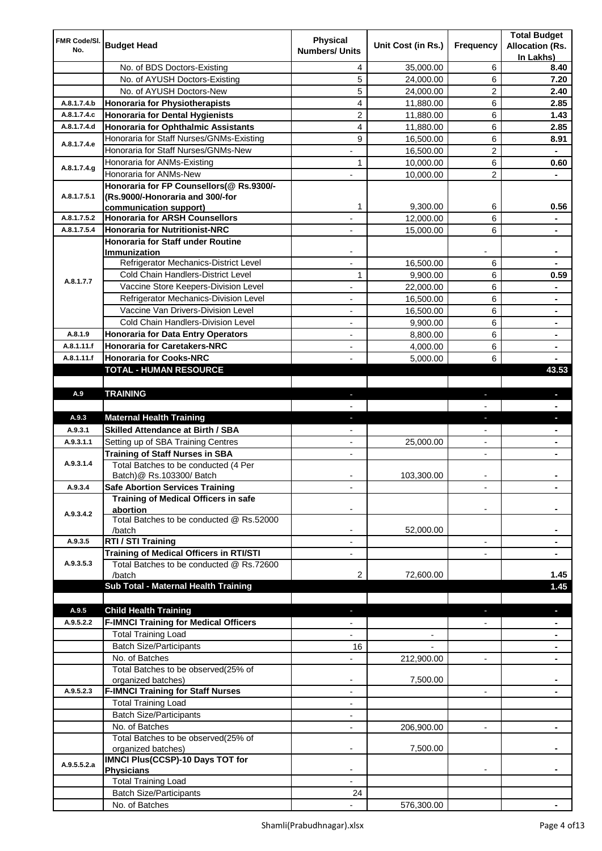| FMR Code/SI.<br>No. | <b>Budget Head</b>                                                         | <b>Physical</b><br><b>Numbers/ Units</b> | Unit Cost (in Rs.)   | Frequency                | <b>Total Budget</b><br><b>Allocation (Rs.</b><br>In Lakhs) |
|---------------------|----------------------------------------------------------------------------|------------------------------------------|----------------------|--------------------------|------------------------------------------------------------|
|                     | No. of BDS Doctors-Existing                                                | 4                                        | 35,000.00            | 6                        | 8.40                                                       |
|                     | No. of AYUSH Doctors-Existing                                              | 5                                        | 24,000.00            | 6                        | 7.20                                                       |
|                     | No. of AYUSH Doctors-New                                                   | 5                                        | 24,000.00            | 2                        | 2.40                                                       |
| A.8.1.7.4.b         | <b>Honoraria for Physiotherapists</b>                                      | 4                                        | 11,880.00            | 6                        | 2.85                                                       |
| A.8.1.7.4.c         | <b>Honoraria for Dental Hygienists</b>                                     | $\overline{c}$                           | 11,880.00            | 6                        | 1.43                                                       |
| A.8.1.7.4.d         | <b>Honoraria for Ophthalmic Assistants</b>                                 | $\overline{4}$                           | 11,880.00            | 6                        | 2.85                                                       |
|                     | Honoraria for Staff Nurses/GNMs-Existing                                   | 9                                        | 16,500.00            | 6                        | 8.91                                                       |
| A.8.1.7.4.e         | Honoraria for Staff Nurses/GNMs-New                                        |                                          | 16,500.00            | 2                        |                                                            |
|                     | Honoraria for ANMs-Existing                                                | 1                                        | 10,000.00            | 6                        | 0.60                                                       |
| A.8.1.7.4.g         | Honoraria for ANMs-New                                                     |                                          | 10,000.00            | 2                        |                                                            |
|                     | Honoraria for FP Counsellors(@ Rs.9300/-                                   |                                          |                      |                          |                                                            |
| A.8.1.7.5.1         | (Rs.9000/-Honoraria and 300/-for                                           |                                          |                      |                          |                                                            |
|                     | communication support)                                                     | 1                                        | 9,300.00             | 6                        | 0.56                                                       |
| A.8.1.7.5.2         | <b>Honoraria for ARSH Counsellors</b>                                      |                                          | 12,000.00            | 6                        |                                                            |
| A.8.1.7.5.4         | <b>Honoraria for Nutritionist-NRC</b>                                      |                                          | 15,000.00            | 6                        |                                                            |
|                     | <b>Honoraria for Staff under Routine</b>                                   |                                          |                      |                          |                                                            |
|                     | Immunization<br>Refrigerator Mechanics-District Level                      | $\overline{a}$                           | 16,500.00            | 6                        |                                                            |
|                     | Cold Chain Handlers-District Level                                         | 1                                        | 9,900.00             | 6                        | 0.59                                                       |
| A.8.1.7.7           | Vaccine Store Keepers-Division Level                                       | ÷,                                       | 22,000.00            | 6                        | ä,                                                         |
|                     | Refrigerator Mechanics-Division Level                                      | $\overline{\phantom{a}}$                 | 16,500.00            | 6                        | ۰                                                          |
|                     | Vaccine Van Drivers-Division Level                                         | $\overline{\phantom{a}}$                 |                      | 6                        |                                                            |
|                     | Cold Chain Handlers-Division Level                                         | $\overline{\phantom{a}}$                 | 16,500.00            | 6                        | ۰                                                          |
| A.8.1.9             | <b>Honoraria for Data Entry Operators</b>                                  |                                          | 9,900.00<br>8,800.00 | 6                        | ۰                                                          |
| A.8.1.11.f          | <b>Honoraria for Caretakers-NRC</b>                                        | $\overline{\phantom{a}}$                 |                      | 6                        | $\blacksquare$                                             |
| A.8.1.11.f          | <b>Honoraria for Cooks-NRC</b>                                             | $\overline{\phantom{a}}$                 | 4,000.00<br>5,000.00 | 6                        | $\blacksquare$                                             |
|                     | TOTAL - HUMAN RESOURCE                                                     |                                          |                      |                          | 43.53                                                      |
|                     |                                                                            |                                          |                      |                          |                                                            |
| A.9                 | <b>TRAINING</b>                                                            | ٠                                        |                      | ٠                        | $\blacksquare$                                             |
|                     |                                                                            |                                          |                      |                          |                                                            |
| A.9.3               | <b>Maternal Health Training</b>                                            | ٠                                        |                      | ı                        | J,                                                         |
| A.9.3.1             | <b>Skilled Attendance at Birth / SBA</b>                                   |                                          |                      | $\overline{\phantom{0}}$ | ٠                                                          |
| A.9.3.1.1           | Setting up of SBA Training Centres                                         |                                          | 25,000.00            |                          |                                                            |
|                     | <b>Training of Staff Nurses in SBA</b>                                     |                                          |                      |                          |                                                            |
| A.9.3.1.4           | Total Batches to be conducted (4 Per                                       |                                          |                      |                          |                                                            |
|                     | Batch)@ Rs.103300/ Batch                                                   |                                          | 103,300.00           |                          |                                                            |
| A.9.3.4             | <b>Safe Abortion Services Training</b>                                     |                                          |                      |                          |                                                            |
|                     | Training of Medical Officers in safe                                       |                                          |                      |                          |                                                            |
| A.9.3.4.2           | abortion                                                                   |                                          |                      |                          |                                                            |
|                     | Total Batches to be conducted @ Rs.52000                                   |                                          |                      |                          |                                                            |
| A.9.3.5             | /batch<br>RTI / STI Training                                               |                                          | 52,000.00            | $\blacksquare$           |                                                            |
|                     | <b>Training of Medical Officers in RTI/STI</b>                             |                                          |                      |                          |                                                            |
| A.9.3.5.3           | Total Batches to be conducted @ Rs.72600                                   |                                          |                      |                          |                                                            |
|                     | /batch                                                                     |                                          |                      |                          |                                                            |
|                     |                                                                            | 2                                        |                      |                          |                                                            |
|                     |                                                                            |                                          | 72,600.00            |                          | 1.45                                                       |
|                     | Sub Total - Maternal Health Training                                       |                                          |                      |                          | 1.45                                                       |
| A.9.5               |                                                                            |                                          |                      |                          | a.                                                         |
| A.9.5.2.2           | <b>Child Health Training</b>                                               |                                          |                      |                          |                                                            |
|                     | <b>F-IMNCI Training for Medical Officers</b><br><b>Total Training Load</b> |                                          |                      |                          |                                                            |
|                     | <b>Batch Size/Participants</b>                                             | 16                                       |                      |                          |                                                            |
|                     | No. of Batches                                                             |                                          |                      | $\blacksquare$           |                                                            |
|                     | Total Batches to be observed(25% of                                        |                                          | 212,900.00           |                          |                                                            |
|                     | organized batches)                                                         | $\overline{\phantom{a}}$                 | 7,500.00             |                          |                                                            |
| A.9.5.2.3           | <b>F-IMNCI Training for Staff Nurses</b>                                   | $\overline{\phantom{a}}$                 |                      | $\overline{\phantom{a}}$ | $\blacksquare$                                             |
|                     | <b>Total Training Load</b>                                                 |                                          |                      |                          |                                                            |
|                     | <b>Batch Size/Participants</b>                                             | $\overline{\phantom{a}}$                 |                      |                          |                                                            |
|                     | No. of Batches                                                             | $\overline{\phantom{a}}$                 | 206,900.00           | $\overline{\phantom{a}}$ | ۰                                                          |
|                     | Total Batches to be observed(25% of                                        |                                          |                      |                          |                                                            |
|                     | organized batches)                                                         |                                          | 7,500.00             |                          |                                                            |
| A.9.5.5.2.a         | <b>IMNCI Plus(CCSP)-10 Days TOT for</b>                                    |                                          |                      |                          |                                                            |
|                     | <b>Physicians</b>                                                          |                                          |                      |                          |                                                            |
|                     | <b>Total Training Load</b><br><b>Batch Size/Participants</b>               | 24                                       |                      |                          |                                                            |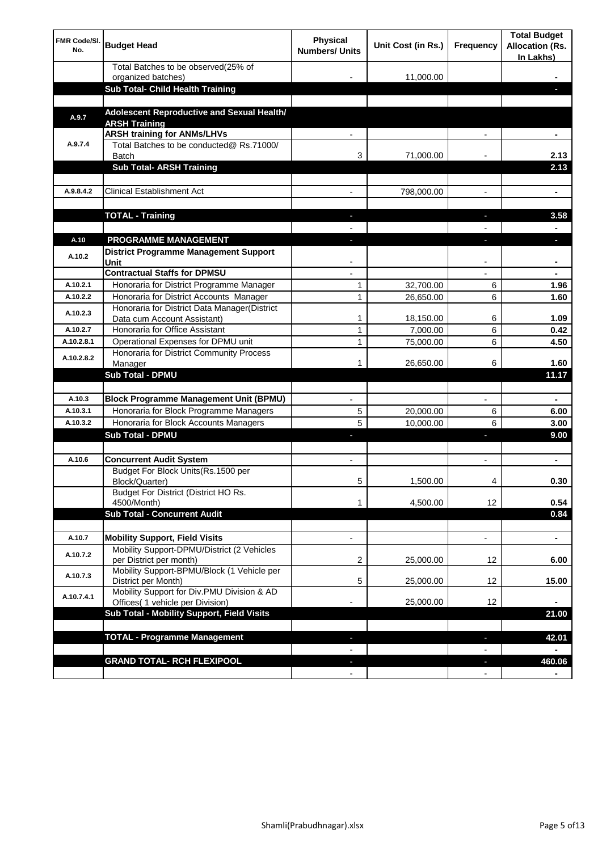| <b>FMR Code/SI.</b><br>No. | <b>Budget Head</b>                                                             | Physical<br><b>Numbers/ Units</b> | Unit Cost (in Rs.) | Frequency                | <b>Total Budget</b><br><b>Allocation (Rs.</b><br>In Lakhs) |
|----------------------------|--------------------------------------------------------------------------------|-----------------------------------|--------------------|--------------------------|------------------------------------------------------------|
|                            | Total Batches to be observed(25% of<br>organized batches)                      |                                   | 11,000.00          |                          |                                                            |
|                            | Sub Total- Child Health Training                                               |                                   |                    |                          |                                                            |
|                            |                                                                                |                                   |                    |                          |                                                            |
| A.9.7                      | Adolescent Reproductive and Sexual Health/<br><b>ARSH Training</b>             |                                   |                    |                          |                                                            |
|                            | <b>ARSH training for ANMs/LHVs</b>                                             |                                   |                    |                          |                                                            |
| A.9.7.4                    | Total Batches to be conducted@ Rs.71000/<br>Batch                              | 3                                 | 71,000.00          |                          | 2.13                                                       |
|                            | <b>Sub Total- ARSH Training</b>                                                |                                   |                    |                          | 2.13                                                       |
|                            |                                                                                |                                   |                    |                          |                                                            |
| A.9.8.4.2                  | <b>Clinical Establishment Act</b>                                              |                                   | 798,000.00         |                          | ä,                                                         |
|                            |                                                                                |                                   |                    |                          |                                                            |
|                            | <b>TOTAL - Training</b>                                                        |                                   |                    |                          | 3.58                                                       |
| A.10                       | <b>PROGRAMME MANAGEMENT</b>                                                    |                                   |                    |                          |                                                            |
| A.10.2                     | <b>District Programme Management Support</b><br>Unit                           |                                   |                    |                          |                                                            |
|                            | <b>Contractual Staffs for DPMSU</b>                                            |                                   |                    |                          | ٠                                                          |
| A.10.2.1                   | Honoraria for District Programme Manager                                       | 1                                 | 32,700.00          | 6                        | 1.96                                                       |
| A.10.2.2                   | Honoraria for District Accounts Manager                                        | 1                                 | 26,650.00          | 6                        | 1.60                                                       |
| A.10.2.3                   | Honoraria for District Data Manager(District<br>Data cum Account Assistant)    | 1                                 | 18,150.00          | 6                        | 1.09                                                       |
| A.10.2.7                   | Honoraria for Office Assistant                                                 | 1                                 | 7,000.00           | 6                        | 0.42                                                       |
| A.10.2.8.1                 | Operational Expenses for DPMU unit                                             | 1                                 | 75,000.00          | 6                        | 4.50                                                       |
| A.10.2.8.2                 | Honoraria for District Community Process                                       |                                   |                    |                          |                                                            |
|                            | Manager                                                                        | 1                                 | 26,650.00          | 6                        | 1.60                                                       |
|                            | <b>Sub Total - DPMU</b>                                                        |                                   |                    |                          | 11.17                                                      |
| A.10.3                     | <b>Block Programme Management Unit (BPMU)</b>                                  |                                   |                    | $\overline{\phantom{a}}$ | ۰                                                          |
| A.10.3.1                   | Honoraria for Block Programme Managers                                         | 5                                 | 20,000.00          | 6                        | 6.00                                                       |
| A.10.3.2                   | Honoraria for Block Accounts Managers                                          | 5                                 | 10,000.00          | 6                        | 3.00                                                       |
|                            | <b>Sub Total - DPMU</b>                                                        |                                   |                    | r                        | 9.00                                                       |
|                            |                                                                                |                                   |                    |                          |                                                            |
| A.10.6                     | <b>Concurrent Audit System</b>                                                 |                                   |                    |                          | ۰                                                          |
|                            | Budget For Block Units(Rs.1500 per<br>Block/Quarter)                           |                                   | 1,500.00           |                          | 0.30                                                       |
|                            | Budget For District (District HO Rs.<br>4500/Month)                            | 1                                 | 4,500.00           | 12                       | 0.54                                                       |
|                            | <b>Sub Total - Concurrent Audit</b>                                            |                                   |                    |                          | 0.84                                                       |
|                            |                                                                                |                                   |                    |                          |                                                            |
| A.10.7                     | <b>Mobility Support, Field Visits</b>                                          |                                   |                    | $\overline{\phantom{a}}$ | $\blacksquare$                                             |
| A.10.7.2                   | Mobility Support-DPMU/District (2 Vehicles<br>per District per month)          | 2                                 | 25,000.00          | 12                       | 6.00                                                       |
| A.10.7.3                   | Mobility Support-BPMU/Block (1 Vehicle per<br>District per Month)              | 5                                 | 25,000.00          | 12                       | 15.00                                                      |
| A.10.7.4.1                 | Mobility Support for Div.PMU Division & AD<br>Offices( 1 vehicle per Division) |                                   | 25,000.00          | 12                       |                                                            |
|                            | Sub Total - Mobility Support, Field Visits                                     |                                   |                    |                          | 21.00                                                      |
|                            |                                                                                |                                   |                    |                          |                                                            |
|                            | <b>TOTAL - Programme Management</b>                                            |                                   |                    | ı                        | 42.01                                                      |
|                            |                                                                                |                                   |                    |                          |                                                            |
|                            | <b>GRAND TOTAL- RCH FLEXIPOOL</b>                                              | E.                                |                    | J,                       | 460.06                                                     |
|                            |                                                                                | $\blacksquare$                    |                    | $\overline{\phantom{a}}$ |                                                            |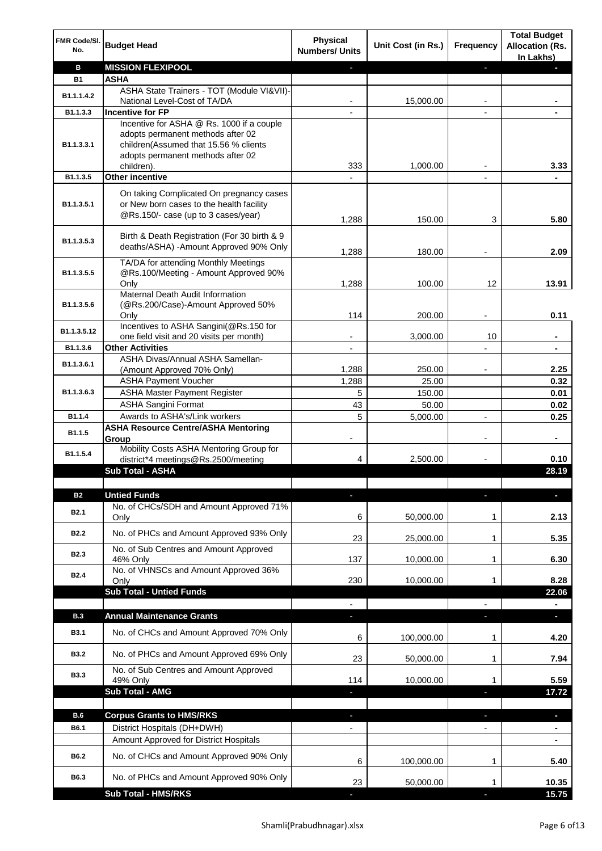| FMR Code/SI.<br>No. | <b>Budget Head</b>                                                                                                          | <b>Physical</b><br><b>Numbers/ Units</b> | Unit Cost (in Rs.) | Frequency                     | <b>Total Budget</b><br><b>Allocation (Rs.</b><br>In Lakhs) |
|---------------------|-----------------------------------------------------------------------------------------------------------------------------|------------------------------------------|--------------------|-------------------------------|------------------------------------------------------------|
| в                   | <b>MISSION FLEXIPOOL</b>                                                                                                    |                                          |                    | J,                            |                                                            |
| <b>B1</b>           | <b>ASHA</b>                                                                                                                 |                                          |                    |                               |                                                            |
| B1.1.1.4.2          | ASHA State Trainers - TOT (Module VI&VII)-<br>National Level-Cost of TA/DA                                                  |                                          | 15,000.00          |                               |                                                            |
| B1.1.3.3            | <b>Incentive for FP</b>                                                                                                     |                                          |                    |                               |                                                            |
|                     | Incentive for ASHA @ Rs. 1000 if a couple                                                                                   |                                          |                    |                               |                                                            |
|                     | adopts permanent methods after 02                                                                                           |                                          |                    |                               |                                                            |
| B1.1.3.3.1          | children(Assumed that 15.56 % clients                                                                                       |                                          |                    |                               |                                                            |
|                     | adopts permanent methods after 02                                                                                           |                                          |                    |                               |                                                            |
|                     | children).                                                                                                                  | 333                                      | 1,000.00           |                               | 3.33                                                       |
| B1.1.3.5            | <b>Other incentive</b>                                                                                                      | $\overline{\phantom{a}}$                 |                    | $\blacksquare$                |                                                            |
| B1.1.3.5.1          | On taking Complicated On pregnancy cases<br>or New born cases to the health facility<br>@Rs.150/- case (up to 3 cases/year) | 1,288                                    | 150.00             | 3                             | 5.80                                                       |
| B1.1.3.5.3          | Birth & Death Registration (For 30 birth & 9<br>deaths/ASHA) - Amount Approved 90% Only                                     | 1,288                                    | 180.00             |                               | 2.09                                                       |
|                     | TA/DA for attending Monthly Meetings                                                                                        |                                          |                    |                               |                                                            |
| B1.1.3.5.5          | @Rs.100/Meeting - Amount Approved 90%                                                                                       |                                          |                    |                               |                                                            |
|                     | Only                                                                                                                        | 1,288                                    | 100.00             | 12                            | 13.91                                                      |
|                     | Maternal Death Audit Information                                                                                            |                                          |                    |                               |                                                            |
| B1.1.3.5.6          | (@Rs.200/Case)-Amount Approved 50%<br>Only                                                                                  | 114                                      | 200.00             |                               | 0.11                                                       |
|                     | Incentives to ASHA Sangini(@Rs.150 for                                                                                      |                                          |                    |                               |                                                            |
| B1.1.3.5.12         | one field visit and 20 visits per month)                                                                                    |                                          | 3,000.00           | 10                            | ä,                                                         |
| B1.1.3.6            | <b>Other Activities</b>                                                                                                     | $\overline{\phantom{a}}$                 |                    | $\overline{a}$                | $\blacksquare$                                             |
| B1.1.3.6.1          | ASHA Divas/Annual ASHA Samellan-                                                                                            |                                          |                    |                               |                                                            |
|                     | (Amount Approved 70% Only)<br><b>ASHA Payment Voucher</b>                                                                   | 1,288<br>1,288                           | 250.00<br>25.00    |                               | 2.25<br>0.32                                               |
| B1.1.3.6.3          | <b>ASHA Master Payment Register</b>                                                                                         | 5                                        | 150.00             |                               | 0.01                                                       |
|                     | <b>ASHA Sangini Format</b>                                                                                                  | 43                                       | 50.00              |                               | 0.02                                                       |
| B1.1.4              | Awards to ASHA's/Link workers                                                                                               | 5                                        | 5,000.00           | $\overline{a}$                | 0.25                                                       |
| B1.1.5              | <b>ASHA Resource Centre/ASHA Mentoring</b>                                                                                  |                                          |                    |                               |                                                            |
|                     | Group                                                                                                                       | $\overline{\phantom{a}}$                 |                    | $\overline{\phantom{a}}$      | ٠                                                          |
| B1.1.5.4            | Mobility Costs ASHA Mentoring Group for<br>district*4 meetings@Rs.2500/meeting                                              | 4                                        | 2,500.00           |                               | 0.10                                                       |
|                     | <b>Sub Total - ASHA</b>                                                                                                     |                                          |                    |                               | 28.19                                                      |
|                     |                                                                                                                             |                                          |                    |                               |                                                            |
| <b>B2</b>           | <b>Untied Funds</b>                                                                                                         | ı.                                       |                    | r.                            |                                                            |
| <b>B2.1</b>         | No. of CHCs/SDH and Amount Approved 71%                                                                                     |                                          |                    |                               |                                                            |
|                     | Only                                                                                                                        | 6                                        | 50,000.00          | 1                             | 2.13                                                       |
| <b>B2.2</b>         | No. of PHCs and Amount Approved 93% Only                                                                                    | 23                                       | 25,000.00          | 1                             | 5.35                                                       |
|                     | No. of Sub Centres and Amount Approved                                                                                      |                                          |                    |                               |                                                            |
| B <sub>2.3</sub>    | 46% Only                                                                                                                    | 137                                      | 10,000.00          | 1                             | 6.30                                                       |
| <b>B2.4</b>         | No. of VHNSCs and Amount Approved 36%                                                                                       |                                          |                    |                               |                                                            |
|                     | Only<br><b>Sub Total - Untied Funds</b>                                                                                     | 230                                      | 10,000.00          | 1                             | 8.28<br>22.06                                              |
|                     |                                                                                                                             |                                          |                    |                               |                                                            |
| <b>B.3</b>          | <b>Annual Maintenance Grants</b>                                                                                            | J,                                       |                    | T                             | $\overline{\phantom{a}}$                                   |
| <b>B3.1</b>         | No. of CHCs and Amount Approved 70% Only                                                                                    | 6                                        | 100,000.00         | 1                             | 4.20                                                       |
| <b>B3.2</b>         | No. of PHCs and Amount Approved 69% Only                                                                                    | 23                                       | 50,000.00          | 1                             | 7.94                                                       |
| <b>B3.3</b>         | No. of Sub Centres and Amount Approved                                                                                      |                                          |                    |                               |                                                            |
|                     | 49% Only                                                                                                                    | 114                                      | 10,000.00          | 1                             | 5.59                                                       |
|                     | <b>Sub Total - AMG</b>                                                                                                      |                                          |                    | п                             | 17.72                                                      |
| B.6                 | <b>Corpus Grants to HMS/RKS</b>                                                                                             |                                          |                    |                               |                                                            |
| B6.1                | District Hospitals (DH+DWH)                                                                                                 | J,                                       |                    | ı<br>$\overline{\phantom{a}}$ | ٠<br>$\blacksquare$                                        |
|                     | Amount Approved for District Hospitals                                                                                      |                                          |                    |                               | $\blacksquare$                                             |
|                     |                                                                                                                             |                                          |                    |                               |                                                            |
| B6.2                | No. of CHCs and Amount Approved 90% Only                                                                                    | 6                                        | 100,000.00         | 1                             | 5.40                                                       |
| B6.3                | No. of PHCs and Amount Approved 90% Only                                                                                    | 23                                       | 50,000.00          | 1                             | 10.35                                                      |
|                     | <b>Sub Total - HMS/RKS</b>                                                                                                  |                                          |                    |                               | 15.75                                                      |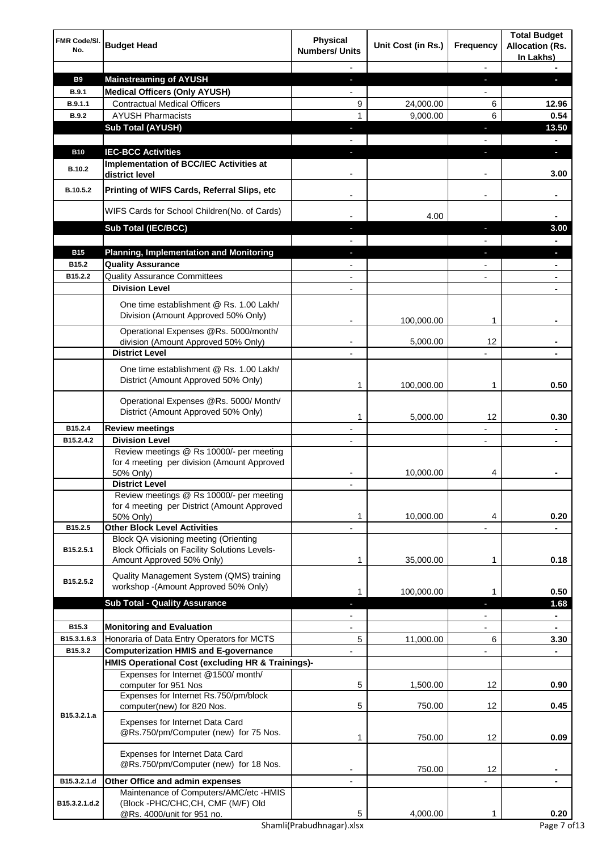| FMR Code/SI.<br>No. | <b>Budget Head</b>                                                                                         | <b>Physical</b><br><b>Numbers/ Units</b> | Unit Cost (in Rs.) | Frequency                | <b>Total Budget</b><br><b>Allocation (Rs.</b><br>In Lakhs) |
|---------------------|------------------------------------------------------------------------------------------------------------|------------------------------------------|--------------------|--------------------------|------------------------------------------------------------|
|                     |                                                                                                            |                                          |                    |                          |                                                            |
| <b>B9</b>           | <b>Mainstreaming of AYUSH</b>                                                                              | J,                                       |                    | J,                       | L                                                          |
| B.9.1               | <b>Medical Officers (Only AYUSH)</b>                                                                       |                                          |                    |                          |                                                            |
| B.9.1.1             | <b>Contractual Medical Officers</b>                                                                        | 9                                        | 24,000.00          | 6                        | 12.96                                                      |
| <b>B.9.2</b>        | <b>AYUSH Pharmacists</b>                                                                                   | $\mathbf{1}$                             | 9,000.00           | 6                        | 0.54                                                       |
|                     | <b>Sub Total (AYUSH)</b>                                                                                   | ٠                                        |                    | ı                        | 13.50                                                      |
|                     |                                                                                                            |                                          |                    |                          |                                                            |
| <b>B10</b>          | <b>IEC-BCC Activities</b>                                                                                  | ٠                                        |                    | ı                        | o,                                                         |
| <b>B.10.2</b>       | <b>Implementation of BCC/IEC Activities at</b><br>district level                                           |                                          |                    |                          | 3.00                                                       |
| B.10.5.2            | Printing of WIFS Cards, Referral Slips, etc                                                                |                                          |                    | $\overline{\phantom{a}}$ |                                                            |
|                     | WIFS Cards for School Children(No. of Cards)                                                               |                                          | 4.00               |                          |                                                            |
|                     | Sub Total (IEC/BCC)                                                                                        |                                          |                    |                          | 3.00                                                       |
|                     |                                                                                                            |                                          |                    |                          |                                                            |
| <b>B15</b>          | <b>Planning, Implementation and Monitoring</b>                                                             |                                          |                    |                          |                                                            |
| B15.2               | <b>Quality Assurance</b>                                                                                   |                                          |                    |                          |                                                            |
| B15.2.2             | <b>Quality Assurance Committees</b><br><b>Division Level</b>                                               |                                          |                    |                          |                                                            |
|                     |                                                                                                            |                                          |                    |                          |                                                            |
|                     | One time establishment @ Rs. 1.00 Lakh/<br>Division (Amount Approved 50% Only)                             |                                          | 100,000.00         | 1                        |                                                            |
|                     | Operational Expenses @Rs. 5000/month/                                                                      |                                          |                    |                          |                                                            |
|                     | division (Amount Approved 50% Only)                                                                        |                                          | 5,000.00           | 12                       |                                                            |
|                     | <b>District Level</b>                                                                                      |                                          |                    |                          |                                                            |
|                     | One time establishment @ Rs. 1.00 Lakh/<br>District (Amount Approved 50% Only)                             | 1                                        | 100,000.00         | 1                        | 0.50                                                       |
|                     | Operational Expenses @Rs. 5000/ Month/<br>District (Amount Approved 50% Only)                              | 1                                        | 5,000.00           | 12                       | 0.30                                                       |
| B15.2.4             | <b>Review meetings</b>                                                                                     |                                          |                    |                          | $\blacksquare$                                             |
| B15.2.4.2           | <b>Division Level</b>                                                                                      |                                          |                    |                          |                                                            |
|                     | Review meetings @ Rs 10000/- per meeting                                                                   |                                          |                    |                          |                                                            |
|                     | for 4 meeting per division (Amount Approved<br>50% Only)                                                   |                                          | 10,000.00          | 4                        |                                                            |
|                     | <b>District Level</b>                                                                                      |                                          |                    |                          |                                                            |
|                     | Review meetings @ Rs 10000/- per meeting<br>for 4 meeting per District (Amount Approved                    |                                          |                    |                          |                                                            |
|                     | 50% Only)                                                                                                  | 1                                        | 10,000.00          | 4                        | 0.20                                                       |
| B15.2.5             | <b>Other Block Level Activities</b><br>Block QA visioning meeting (Orienting                               |                                          |                    |                          |                                                            |
| B15.2.5.1           | <b>Block Officials on Facility Solutions Levels-</b><br>Amount Approved 50% Only)                          | 1                                        | 35,000.00          | 1                        | 0.18                                                       |
| B15.2.5.2           | Quality Management System (QMS) training                                                                   |                                          |                    |                          |                                                            |
|                     | workshop -(Amount Approved 50% Only)                                                                       | 1                                        | 100,000.00         | 1                        | 0.50                                                       |
|                     | <b>Sub Total - Quality Assurance</b>                                                                       |                                          |                    | ı                        | 1.68<br>$\blacksquare$                                     |
| B15.3               | <b>Monitoring and Evaluation</b>                                                                           |                                          |                    |                          | $\blacksquare$                                             |
| B15.3.1.6.3         | Honoraria of Data Entry Operators for MCTS                                                                 | 5                                        | 11,000.00          | 6                        | 3.30                                                       |
| B15.3.2             | <b>Computerization HMIS and E-governance</b>                                                               |                                          |                    |                          |                                                            |
|                     | HMIS Operational Cost (excluding HR & Trainings)-                                                          |                                          |                    |                          |                                                            |
|                     | Expenses for Internet @1500/month/<br>computer for 951 Nos                                                 | 5                                        | 1,500.00           | 12                       | 0.90                                                       |
|                     | Expenses for Internet Rs.750/pm/block<br>computer(new) for 820 Nos.                                        | 5                                        | 750.00             | 12                       | 0.45                                                       |
| B15.3.2.1.a         | Expenses for Internet Data Card<br>@Rs.750/pm/Computer (new) for 75 Nos.                                   | 1                                        | 750.00             | 12                       | 0.09                                                       |
|                     | Expenses for Internet Data Card<br>@Rs.750/pm/Computer (new) for 18 Nos.                                   |                                          | 750.00             | 12                       |                                                            |
| B15.3.2.1.d         | Other Office and admin expenses                                                                            |                                          |                    |                          |                                                            |
| B15.3.2.1.d.2       | Maintenance of Computers/AMC/etc -HMIS<br>(Block -PHC/CHC, CH, CMF (M/F) Old<br>@Rs. 4000/unit for 951 no. | 5                                        | 4,000.00           | 1                        | 0.20                                                       |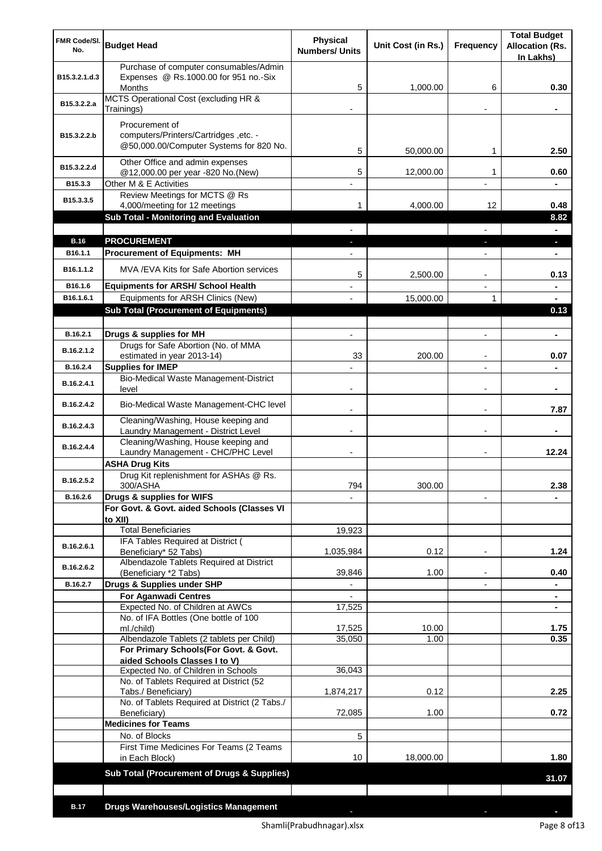| <b>FMR Code/SI.</b><br>No. | <b>Budget Head</b>                                                                                 | <b>Physical</b><br><b>Numbers/ Units</b> | Unit Cost (in Rs.) | Frequency                | <b>Total Budget</b><br><b>Allocation (Rs.</b><br>In Lakhs) |
|----------------------------|----------------------------------------------------------------------------------------------------|------------------------------------------|--------------------|--------------------------|------------------------------------------------------------|
| B15.3.2.1.d.3              | Purchase of computer consumables/Admin<br>Expenses @ Rs.1000.00 for 951 no.-Six<br><b>Months</b>   | 5                                        | 1,000.00           | 6                        | 0.30                                                       |
| B15.3.2.2.a                | MCTS Operational Cost (excluding HR &<br>Trainings)                                                |                                          |                    |                          |                                                            |
| B15.3.2.2.b                | Procurement of<br>computers/Printers/Cartridges, etc. -<br>@50,000.00/Computer Systems for 820 No. | 5                                        | 50,000.00          | 1                        | 2.50                                                       |
| B15.3.2.2.d                | Other Office and admin expenses<br>@12,000.00 per year -820 No.(New)                               | 5                                        | 12,000.00          | 1                        | 0.60                                                       |
| B15.3.3                    | Other M & E Activities                                                                             |                                          |                    |                          |                                                            |
| B15.3.3.5                  | Review Meetings for MCTS @ Rs                                                                      |                                          |                    |                          |                                                            |
|                            | 4,000/meeting for 12 meetings<br>Sub Total - Monitoring and Evaluation                             | 1                                        | 4,000.00           | 12                       | 0.48<br>8.82                                               |
|                            |                                                                                                    |                                          |                    |                          |                                                            |
| <b>B.16</b>                | <b>PROCUREMENT</b>                                                                                 |                                          |                    |                          | ı                                                          |
| B <sub>16.1.1</sub>        | <b>Procurement of Equipments: MH</b>                                                               |                                          |                    |                          |                                                            |
| B <sub>16.1.1.2</sub>      | MVA/EVA Kits for Safe Abortion services                                                            | 5                                        | 2,500.00           |                          | 0.13                                                       |
| B16.1.6<br>B16.1.6.1       | <b>Equipments for ARSH/ School Health</b><br>Equipments for ARSH Clinics (New)                     |                                          | 15,000.00          | 1                        |                                                            |
|                            | <b>Sub Total (Procurement of Equipments)</b>                                                       |                                          |                    |                          | 0.13                                                       |
|                            |                                                                                                    |                                          |                    |                          |                                                            |
| B.16.2.1                   | Drugs & supplies for MH                                                                            |                                          |                    |                          |                                                            |
| B.16.2.1.2                 | Drugs for Safe Abortion (No. of MMA<br>estimated in year 2013-14)                                  | 33                                       | 200.00             |                          | 0.07                                                       |
| B.16.2.4                   | <b>Supplies for IMEP</b>                                                                           |                                          |                    |                          |                                                            |
| B.16.2.4.1                 | Bio-Medical Waste Management-District<br>level                                                     |                                          |                    |                          |                                                            |
| B.16.2.4.2                 | Bio-Medical Waste Management-CHC level                                                             |                                          |                    |                          | 7.87                                                       |
| B.16.2.4.3                 | Cleaning/Washing, House keeping and<br>Laundry Management - District Level                         |                                          |                    |                          |                                                            |
| B.16.2.4.4                 | Cleaning/Washing, House keeping and<br>Laundry Management - CHC/PHC Level                          |                                          |                    |                          | 12.24                                                      |
|                            | <b>ASHA Drug Kits</b>                                                                              |                                          |                    |                          |                                                            |
| B.16.2.5.2                 | Drug Kit replenishment for ASHAs @ Rs.<br>300/ASHA                                                 | 794                                      | 300.00             |                          | 2.38                                                       |
| B.16.2.6                   | Drugs & supplies for WIFS                                                                          |                                          |                    |                          |                                                            |
|                            | For Govt. & Govt. aided Schools (Classes VI<br>to XII)                                             |                                          |                    |                          |                                                            |
|                            | <b>Total Beneficiaries</b>                                                                         | 19,923                                   |                    |                          |                                                            |
| B.16.2.6.1                 | IFA Tables Required at District (<br>Beneficiary* 52 Tabs)                                         | 1,035,984                                | 0.12               | $\blacksquare$           | 1.24                                                       |
| B.16.2.6.2                 | Albendazole Tablets Required at District<br>(Beneficiary *2 Tabs)                                  | 39,846                                   | 1.00               | $\overline{\phantom{a}}$ | 0.40                                                       |
| B.16.2.7                   | Drugs & Supplies under SHP                                                                         | $\overline{\phantom{a}}$                 |                    | $\overline{\phantom{a}}$ | ۰                                                          |
|                            | <b>For Aganwadi Centres</b>                                                                        |                                          |                    |                          | $\blacksquare$                                             |
|                            | Expected No. of Children at AWCs<br>No. of IFA Bottles (One bottle of 100                          | 17,525                                   |                    |                          |                                                            |
|                            | ml./child)                                                                                         | 17,525                                   | 10.00              |                          | 1.75                                                       |
|                            | Albendazole Tablets (2 tablets per Child)<br>For Primary Schools(For Govt. & Govt.                 | 35,050                                   | 1.00               |                          | 0.35                                                       |
|                            | aided Schools Classes I to V)                                                                      |                                          |                    |                          |                                                            |
|                            | Expected No. of Children in Schools<br>No. of Tablets Required at District (52                     | 36,043                                   |                    |                          |                                                            |
|                            | Tabs./ Beneficiary)                                                                                | 1,874,217                                | 0.12               |                          | 2.25                                                       |
|                            | No. of Tablets Required at District (2 Tabs./<br>Beneficiary)                                      | 72,085                                   | 1.00               |                          | 0.72                                                       |
|                            | <b>Medicines for Teams</b>                                                                         |                                          |                    |                          |                                                            |
|                            | No. of Blocks                                                                                      | 5                                        |                    |                          |                                                            |
|                            | First Time Medicines For Teams (2 Teams<br>in Each Block)                                          | 10                                       | 18,000.00          |                          | 1.80                                                       |
|                            | <b>Sub Total (Procurement of Drugs &amp; Supplies)</b>                                             |                                          |                    |                          | 31.07                                                      |
|                            |                                                                                                    |                                          |                    |                          |                                                            |
| <b>B.17</b>                | <b>Drugs Warehouses/Logistics Management</b>                                                       |                                          |                    |                          |                                                            |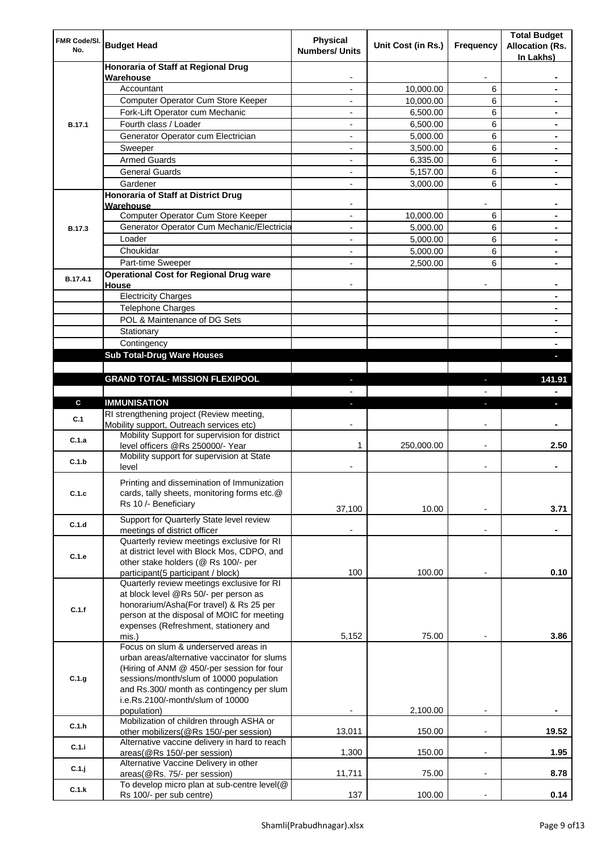| FMR Code/SI.<br>No. | <b>Budget Head</b>                                                                                                                                                                                                                    | Physical<br><b>Numbers/ Units</b> | Unit Cost (in Rs.) | Frequency                | <b>Total Budget</b><br><b>Allocation (Rs.</b><br>In Lakhs) |
|---------------------|---------------------------------------------------------------------------------------------------------------------------------------------------------------------------------------------------------------------------------------|-----------------------------------|--------------------|--------------------------|------------------------------------------------------------|
|                     | Honoraria of Staff at Regional Drug<br>Warehouse                                                                                                                                                                                      |                                   |                    |                          |                                                            |
|                     | Accountant                                                                                                                                                                                                                            |                                   | 10,000.00          | 6                        |                                                            |
|                     | Computer Operator Cum Store Keeper                                                                                                                                                                                                    |                                   | 10,000.00          | 6                        |                                                            |
| <b>B.17.1</b>       | Fork-Lift Operator cum Mechanic                                                                                                                                                                                                       |                                   | 6,500.00           | 6                        |                                                            |
|                     | Fourth class / Loader                                                                                                                                                                                                                 | $\overline{\phantom{0}}$          | 6,500.00           | 6                        |                                                            |
|                     | Generator Operator cum Electrician                                                                                                                                                                                                    |                                   | 5,000.00           | 6                        |                                                            |
|                     | Sweeper                                                                                                                                                                                                                               |                                   | 3,500.00           | 6                        |                                                            |
|                     | <b>Armed Guards</b>                                                                                                                                                                                                                   | ٠                                 | 6,335.00           | 6                        |                                                            |
|                     | <b>General Guards</b>                                                                                                                                                                                                                 | ٠                                 | 5,157.00           | 6                        | $\blacksquare$                                             |
|                     | Gardener                                                                                                                                                                                                                              | $\overline{\phantom{0}}$          | 3,000.00           | 6                        |                                                            |
|                     | Honoraria of Staff at District Drug<br>Warehouse                                                                                                                                                                                      |                                   |                    |                          |                                                            |
|                     | Computer Operator Cum Store Keeper                                                                                                                                                                                                    |                                   | 10,000.00          | 6                        |                                                            |
| <b>B.17.3</b>       | Generator Operator Cum Mechanic/Electricia                                                                                                                                                                                            | $\overline{a}$                    | 5,000.00           | 6                        |                                                            |
|                     | Loader                                                                                                                                                                                                                                | $\overline{\phantom{0}}$          | 5,000.00           | 6                        |                                                            |
|                     | Choukidar                                                                                                                                                                                                                             |                                   | 5,000.00           | 6                        |                                                            |
|                     | Part-time Sweeper                                                                                                                                                                                                                     |                                   | 2,500.00           | 6                        |                                                            |
|                     | <b>Operational Cost for Regional Drug ware</b>                                                                                                                                                                                        |                                   |                    |                          |                                                            |
| B.17.4.1            | House                                                                                                                                                                                                                                 |                                   |                    |                          |                                                            |
|                     | <b>Electricity Charges</b>                                                                                                                                                                                                            |                                   |                    |                          |                                                            |
|                     | <b>Telephone Charges</b>                                                                                                                                                                                                              |                                   |                    |                          |                                                            |
|                     | POL & Maintenance of DG Sets                                                                                                                                                                                                          |                                   |                    |                          |                                                            |
|                     | Stationary                                                                                                                                                                                                                            |                                   |                    |                          |                                                            |
|                     | Contingency                                                                                                                                                                                                                           |                                   |                    |                          |                                                            |
|                     | <b>Sub Total-Drug Ware Houses</b>                                                                                                                                                                                                     |                                   |                    |                          |                                                            |
|                     |                                                                                                                                                                                                                                       |                                   |                    |                          |                                                            |
|                     | <b>GRAND TOTAL- MISSION FLEXIPOOL</b>                                                                                                                                                                                                 |                                   |                    |                          | 141.91                                                     |
|                     |                                                                                                                                                                                                                                       |                                   |                    |                          |                                                            |
| $\mathbf{c}$        | <b>IMMUNISATION</b>                                                                                                                                                                                                                   |                                   |                    |                          |                                                            |
| C.1                 | RI strengthening project (Review meeting,<br>Mobility support, Outreach services etc)                                                                                                                                                 |                                   |                    |                          |                                                            |
| C.1.a               | Mobility Support for supervision for district<br>level officers @Rs 250000/- Year                                                                                                                                                     | 1                                 | 250,000.00         |                          | 2.50                                                       |
| C.1.b               | Mobility support for supervision at State<br>level                                                                                                                                                                                    |                                   |                    |                          |                                                            |
| C.1.c               | Printing and dissemination of Immunization<br>cards, tally sheets, monitoring forms etc.@<br>Rs 10 /- Beneficiary                                                                                                                     | 37,100                            | 10.00              |                          | 3.71                                                       |
| C.1.d               | Support for Quarterly State level review<br>meetings of district officer                                                                                                                                                              |                                   |                    |                          |                                                            |
|                     | Quarterly review meetings exclusive for RI                                                                                                                                                                                            |                                   |                    |                          |                                                            |
| C.1.e               | at district level with Block Mos, CDPO, and<br>other stake holders (@ Rs 100/- per                                                                                                                                                    | 100                               | 100.00             |                          | 0.10                                                       |
|                     | participant(5 participant / block)<br>Quarterly review meetings exclusive for RI                                                                                                                                                      |                                   |                    |                          |                                                            |
| C.1.f               | at block level @Rs 50/- per person as<br>honorarium/Asha(For travel) & Rs 25 per<br>person at the disposal of MOIC for meeting<br>expenses (Refreshment, stationery and                                                               |                                   |                    |                          |                                                            |
|                     | mis.)<br>Focus on slum & underserved areas in                                                                                                                                                                                         | 5,152                             | 75.00              |                          | 3.86                                                       |
| C.1.g               | urban areas/alternative vaccinator for slums<br>(Hiring of ANM @ 450/-per session for four<br>sessions/month/slum of 10000 population<br>and Rs.300/ month as contingency per slum<br>i.e.Rs.2100/-month/slum of 10000<br>population) |                                   | 2,100.00           | $\overline{\phantom{a}}$ |                                                            |
| C.1.h               | Mobilization of children through ASHA or                                                                                                                                                                                              |                                   |                    |                          |                                                            |
| C.1.i               | other mobilizers(@Rs 150/-per session)<br>Alternative vaccine delivery in hard to reach                                                                                                                                               | 13,011                            | 150.00             |                          | 19.52                                                      |
| C.1.j               | areas(@Rs 150/-per session)<br>Alternative Vaccine Delivery in other                                                                                                                                                                  | 1,300                             | 150.00             | $\overline{\phantom{a}}$ | 1.95                                                       |
|                     | areas(@Rs. 75/- per session)<br>To develop micro plan at sub-centre level(@                                                                                                                                                           | 11,711                            | 75.00              |                          | 8.78                                                       |
| C.1.k               | Rs 100/- per sub centre)                                                                                                                                                                                                              | 137                               | 100.00             |                          | 0.14                                                       |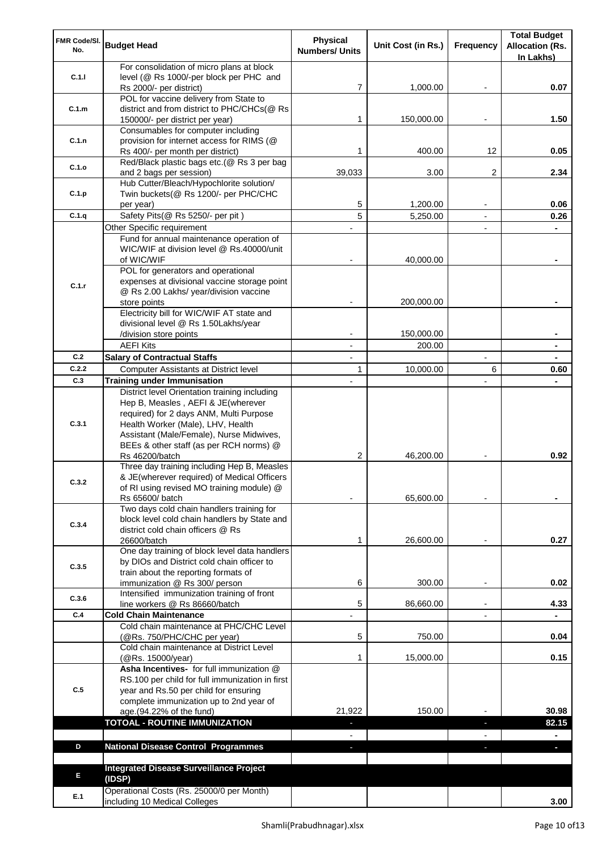| FMR Code/SI.<br>No.                            | <b>Budget Head</b>                                                                       | <b>Physical</b><br><b>Numbers/ Units</b> | Unit Cost (in Rs.) | Frequency                | <b>Total Budget</b><br><b>Allocation (Rs.</b> |
|------------------------------------------------|------------------------------------------------------------------------------------------|------------------------------------------|--------------------|--------------------------|-----------------------------------------------|
|                                                | For consolidation of micro plans at block                                                |                                          |                    |                          | In Lakhs)                                     |
| C.1.1                                          | level (@ Rs 1000/-per block per PHC and                                                  |                                          |                    |                          |                                               |
|                                                | Rs 2000/- per district)                                                                  | 7                                        | 1,000.00           | $\overline{\phantom{a}}$ | 0.07                                          |
|                                                | POL for vaccine delivery from State to                                                   |                                          |                    |                          |                                               |
| C.1.m                                          | district and from district to PHC/CHCs(@ Rs                                              |                                          |                    |                          |                                               |
|                                                | 150000/- per district per year)                                                          | 1                                        | 150,000.00         |                          | 1.50                                          |
|                                                | Consumables for computer including                                                       |                                          |                    |                          |                                               |
| C.1.n                                          | provision for internet access for RIMS (@<br>Rs 400/- per month per district)            | 1                                        | 400.00             | 12                       | 0.05                                          |
|                                                | Red/Black plastic bags etc.(@ Rs 3 per bag                                               |                                          |                    |                          |                                               |
| C.1.o                                          | and 2 bags per session)                                                                  | 39,033                                   | 3.00               | $\overline{2}$           | 2.34                                          |
|                                                | Hub Cutter/Bleach/Hypochlorite solution/                                                 |                                          |                    |                          |                                               |
| C.1.p                                          | Twin buckets(@ Rs 1200/- per PHC/CHC                                                     |                                          |                    |                          |                                               |
|                                                | per year)                                                                                | 5                                        | 1,200.00           |                          | 0.06                                          |
| C.1.q                                          | Safety Pits(@ Rs 5250/- per pit)                                                         | 5                                        | 5,250.00           | $\blacksquare$           | 0.26                                          |
|                                                | Other Specific requirement                                                               |                                          |                    |                          |                                               |
|                                                | Fund for annual maintenance operation of                                                 |                                          |                    |                          |                                               |
|                                                | WIC/WIF at division level @ Rs.40000/unit                                                |                                          |                    |                          |                                               |
|                                                | of WIC/WIF<br>POL for generators and operational                                         |                                          | 40,000.00          |                          |                                               |
|                                                | expenses at divisional vaccine storage point                                             |                                          |                    |                          |                                               |
| C.1.r                                          | @ Rs 2.00 Lakhs/ year/division vaccine                                                   |                                          |                    |                          |                                               |
|                                                | store points                                                                             |                                          | 200,000.00         |                          |                                               |
|                                                | Electricity bill for WIC/WIF AT state and                                                |                                          |                    |                          |                                               |
|                                                | divisional level @ Rs 1.50Lakhs/year                                                     |                                          |                    |                          |                                               |
|                                                | /division store points                                                                   |                                          | 150,000.00         |                          |                                               |
|                                                | <b>AEFI Kits</b>                                                                         |                                          | 200.00             |                          |                                               |
|                                                | <b>Salary of Contractual Staffs</b>                                                      |                                          |                    |                          |                                               |
|                                                | Computer Assistants at District level                                                    | 1                                        | 10,000.00          | 6                        | 0.60                                          |
|                                                | <b>Training under Immunisation</b>                                                       |                                          |                    |                          |                                               |
|                                                | District level Orientation training including                                            |                                          |                    |                          |                                               |
|                                                | Hep B, Measles, AEFI & JE(wherever<br>required) for 2 days ANM, Multi Purpose            |                                          |                    |                          |                                               |
|                                                | Health Worker (Male), LHV, Health                                                        |                                          |                    |                          |                                               |
|                                                | Assistant (Male/Female), Nurse Midwives,                                                 |                                          |                    |                          |                                               |
|                                                | BEEs & other staff (as per RCH norms) @                                                  |                                          |                    |                          |                                               |
|                                                | Rs 46200/batch                                                                           | 2                                        | 46,200.00          |                          | 0.92                                          |
|                                                | Three day training including Hep B, Measles                                              |                                          |                    |                          |                                               |
| C.3.2                                          | & JE(wherever required) of Medical Officers                                              |                                          |                    |                          |                                               |
|                                                | of RI using revised MO training module) @<br>Rs 65600/ batch                             |                                          | 65,600.00          |                          |                                               |
|                                                | Two days cold chain handlers training for                                                |                                          |                    |                          |                                               |
|                                                | block level cold chain handlers by State and                                             |                                          |                    |                          |                                               |
|                                                | district cold chain officers @ Rs                                                        |                                          |                    |                          |                                               |
| C.2<br>C.2.2<br>C.3<br>C.3.1<br>C.3.4<br>C.3.5 | 26600/batch                                                                              | 1                                        | 26,600.00          |                          | 0.27                                          |
|                                                | One day training of block level data handlers                                            |                                          |                    |                          |                                               |
|                                                | by DIOs and District cold chain officer to                                               |                                          |                    |                          |                                               |
|                                                | train about the reporting formats of                                                     |                                          |                    |                          |                                               |
|                                                | immunization @ Rs 300/ person<br>Intensified immunization training of front              | 6                                        | 300.00             |                          | 0.02                                          |
| C.3.6                                          | line workers @ Rs 86660/batch                                                            | 5                                        | 86,660.00          |                          | 4.33                                          |
| C.4                                            | <b>Cold Chain Maintenance</b>                                                            |                                          |                    |                          |                                               |
|                                                | Cold chain maintenance at PHC/CHC Level                                                  |                                          |                    |                          |                                               |
|                                                | (@Rs. 750/PHC/CHC per year)                                                              | 5                                        | 750.00             |                          | 0.04                                          |
|                                                | Cold chain maintenance at District Level                                                 |                                          |                    |                          |                                               |
|                                                | (@Rs. 15000/year)                                                                        | 1                                        | 15,000.00          |                          | 0.15                                          |
|                                                | Asha Incentives- for full immunization @                                                 |                                          |                    |                          |                                               |
| C.5                                            | RS.100 per child for full immunization in first<br>year and Rs.50 per child for ensuring |                                          |                    |                          |                                               |
|                                                | complete immunization up to 2nd year of                                                  |                                          |                    |                          |                                               |
|                                                | age.(94.22% of the fund)                                                                 | 21,922                                   | 150.00             |                          | 30.98                                         |
|                                                | <b>TOTOAL - ROUTINE IMMUNIZATION</b>                                                     |                                          |                    | ٠                        | 82.15                                         |
|                                                |                                                                                          |                                          |                    |                          |                                               |
| D                                              | <b>National Disease Control Programmes</b>                                               | $\blacksquare$                           |                    |                          | ٠                                             |
|                                                |                                                                                          |                                          |                    |                          |                                               |
| E                                              | <b>Integrated Disease Surveillance Project</b>                                           |                                          |                    |                          |                                               |
|                                                | (IDSP)                                                                                   |                                          |                    |                          |                                               |
| E.1                                            | Operational Costs (Rs. 25000/0 per Month)                                                |                                          |                    |                          |                                               |
|                                                | including 10 Medical Colleges                                                            |                                          |                    |                          | 3.00                                          |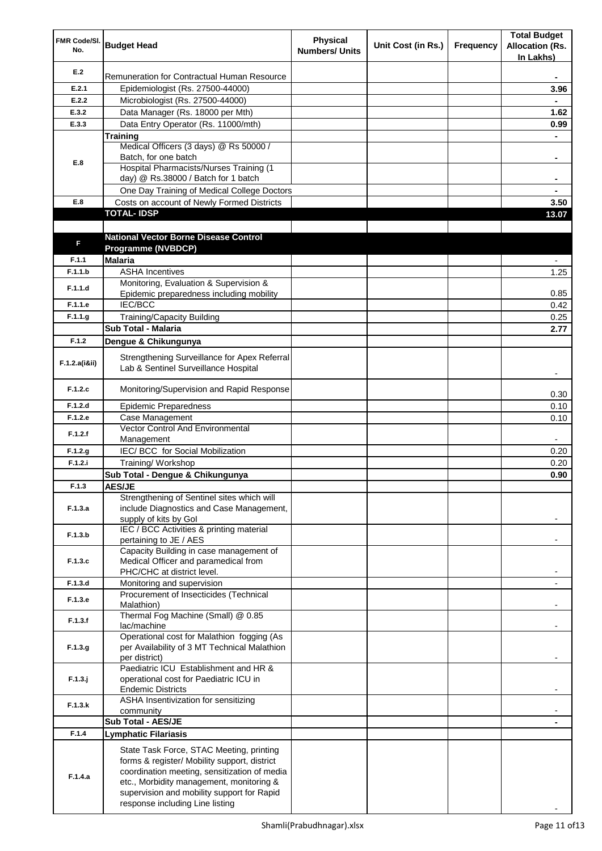| FMR Code/SI.<br>No. | <b>Budget Head</b>                                                                                                                                                                                                                 | <b>Physical</b><br><b>Numbers/ Units</b> | Unit Cost (in Rs.) | Frequency | <b>Total Budget</b><br><b>Allocation (Rs.</b><br>In Lakhs) |
|---------------------|------------------------------------------------------------------------------------------------------------------------------------------------------------------------------------------------------------------------------------|------------------------------------------|--------------------|-----------|------------------------------------------------------------|
| E.2                 | Remuneration for Contractual Human Resource                                                                                                                                                                                        |                                          |                    |           |                                                            |
| E.2.1               | Epidemiologist (Rs. 27500-44000)                                                                                                                                                                                                   |                                          |                    |           | 3.96                                                       |
| E.2.2               | Microbiologist (Rs. 27500-44000)                                                                                                                                                                                                   |                                          |                    |           |                                                            |
| E.3.2               | Data Manager (Rs. 18000 per Mth)                                                                                                                                                                                                   |                                          |                    |           | 1.62                                                       |
| E.3.3               | Data Entry Operator (Rs. 11000/mth)                                                                                                                                                                                                |                                          |                    |           | 0.99                                                       |
|                     | <b>Training</b><br>Medical Officers (3 days) @ Rs 50000 /                                                                                                                                                                          |                                          |                    |           |                                                            |
|                     | Batch, for one batch                                                                                                                                                                                                               |                                          |                    |           | ۰                                                          |
| E.8                 | Hospital Pharmacists/Nurses Training (1                                                                                                                                                                                            |                                          |                    |           |                                                            |
|                     | day) @ Rs.38000 / Batch for 1 batch                                                                                                                                                                                                |                                          |                    |           | ۰                                                          |
|                     | One Day Training of Medical College Doctors                                                                                                                                                                                        |                                          |                    |           | ٠                                                          |
| E.8                 | Costs on account of Newly Formed Districts                                                                                                                                                                                         |                                          |                    |           | 3.50                                                       |
|                     | <b>TOTAL-IDSP</b>                                                                                                                                                                                                                  |                                          |                    |           | 13.07                                                      |
|                     |                                                                                                                                                                                                                                    |                                          |                    |           |                                                            |
| F                   | <b>National Vector Borne Disease Control</b>                                                                                                                                                                                       |                                          |                    |           |                                                            |
|                     | Programme (NVBDCP)                                                                                                                                                                                                                 |                                          |                    |           |                                                            |
| F.1.1               | <b>Malaria</b>                                                                                                                                                                                                                     |                                          |                    |           |                                                            |
| F.1.1.b             | <b>ASHA Incentives</b>                                                                                                                                                                                                             |                                          |                    |           | 1.25                                                       |
| F.1.1.d             | Monitoring, Evaluation & Supervision &                                                                                                                                                                                             |                                          |                    |           |                                                            |
| F.1.1.e             | Epidemic preparedness including mobility<br>IEC/BCC                                                                                                                                                                                |                                          |                    |           | 0.85<br>0.42                                               |
| F.1.1.g             | <b>Training/Capacity Building</b>                                                                                                                                                                                                  |                                          |                    |           | 0.25                                                       |
|                     | Sub Total - Malaria                                                                                                                                                                                                                |                                          |                    |           | 2.77                                                       |
| F.1.2               | Dengue & Chikungunya                                                                                                                                                                                                               |                                          |                    |           |                                                            |
|                     |                                                                                                                                                                                                                                    |                                          |                    |           |                                                            |
| F.1.2.a(iⅈ)         | Strengthening Surveillance for Apex Referral<br>Lab & Sentinel Surveillance Hospital                                                                                                                                               |                                          |                    |           |                                                            |
| F.1.2.c             | Monitoring/Supervision and Rapid Response                                                                                                                                                                                          |                                          |                    |           | 0.30                                                       |
| F.1.2.d             | <b>Epidemic Preparedness</b>                                                                                                                                                                                                       |                                          |                    |           | 0.10                                                       |
| F.1.2.e             | Case Management                                                                                                                                                                                                                    |                                          |                    |           | 0.10                                                       |
| F.1.2.f             | <b>Vector Control And Environmental</b>                                                                                                                                                                                            |                                          |                    |           |                                                            |
|                     | Management                                                                                                                                                                                                                         |                                          |                    |           |                                                            |
| F.1.2.g             | IEC/BCC for Social Mobilization                                                                                                                                                                                                    |                                          |                    |           | 0.20                                                       |
| F.1.2.i             | Training/ Workshop                                                                                                                                                                                                                 |                                          |                    |           | 0.20                                                       |
| F.1.3               | Sub Total - Dengue & Chikungunya<br><b>AES/JE</b>                                                                                                                                                                                  |                                          |                    |           | 0.90                                                       |
|                     | Strengthening of Sentinel sites which will                                                                                                                                                                                         |                                          |                    |           |                                                            |
| F.1.3.a             | include Diagnostics and Case Management,<br>supply of kits by Gol                                                                                                                                                                  |                                          |                    |           |                                                            |
| F.1.3.b             | IEC / BCC Activities & printing material<br>pertaining to JE / AES                                                                                                                                                                 |                                          |                    |           |                                                            |
|                     | Capacity Building in case management of                                                                                                                                                                                            |                                          |                    |           |                                                            |
| F.1.3.c             | Medical Officer and paramedical from                                                                                                                                                                                               |                                          |                    |           |                                                            |
|                     | PHC/CHC at district level.                                                                                                                                                                                                         |                                          |                    |           |                                                            |
| F.1.3.d             | Monitoring and supervision<br>Procurement of Insecticides (Technical                                                                                                                                                               |                                          |                    |           |                                                            |
| F.1.3.e             | Malathion)                                                                                                                                                                                                                         |                                          |                    |           |                                                            |
| F.1.3.f             | Thermal Fog Machine (Small) @ 0.85<br>lac/machine                                                                                                                                                                                  |                                          |                    |           |                                                            |
| F.1.3.g             | Operational cost for Malathion fogging (As<br>per Availability of 3 MT Technical Malathion<br>per district)                                                                                                                        |                                          |                    |           |                                                            |
| $F.1.3.$ j          | Paediatric ICU Establishment and HR &<br>operational cost for Paediatric ICU in<br><b>Endemic Districts</b>                                                                                                                        |                                          |                    |           |                                                            |
| F.1.3.k             | ASHA Insentivization for sensitizing                                                                                                                                                                                               |                                          |                    |           |                                                            |
|                     | community<br>Sub Total - AES/JE                                                                                                                                                                                                    |                                          |                    |           |                                                            |
| F.1.4               | <b>Lymphatic Filariasis</b>                                                                                                                                                                                                        |                                          |                    |           |                                                            |
|                     |                                                                                                                                                                                                                                    |                                          |                    |           |                                                            |
| F.1.4.a             | State Task Force, STAC Meeting, printing<br>forms & register/ Mobility support, district<br>coordination meeting, sensitization of media<br>etc., Morbidity management, monitoring &<br>supervision and mobility support for Rapid |                                          |                    |           |                                                            |
|                     | response including Line listing                                                                                                                                                                                                    |                                          |                    |           |                                                            |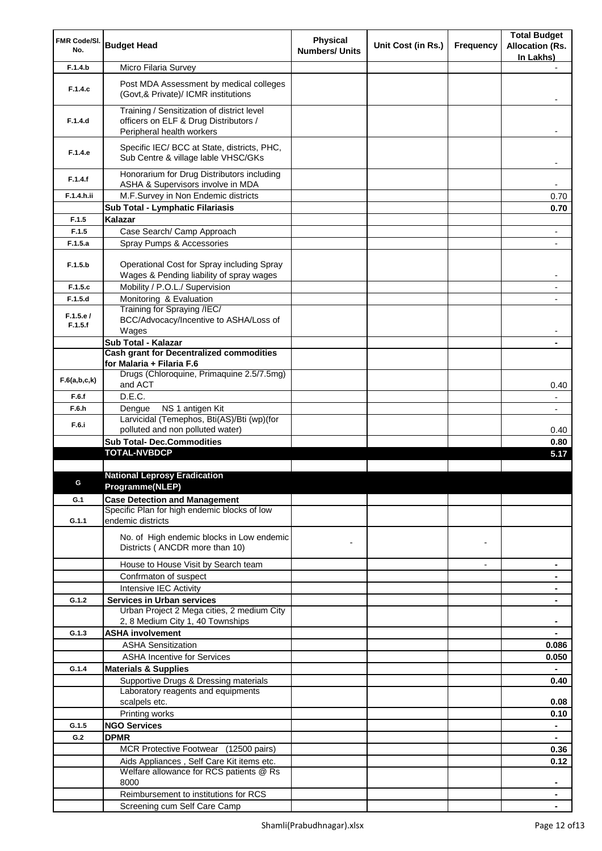| FMR Code/SI.        |                                                                                                                  | <b>Physical</b>       |                    |                          | <b>Total Budget</b>      |
|---------------------|------------------------------------------------------------------------------------------------------------------|-----------------------|--------------------|--------------------------|--------------------------|
| No.                 | <b>Budget Head</b>                                                                                               | <b>Numbers/ Units</b> | Unit Cost (in Rs.) | Frequency                | <b>Allocation (Rs.</b>   |
|                     |                                                                                                                  |                       |                    |                          | In Lakhs)                |
| F.1.4.b             | Micro Filaria Survey                                                                                             |                       |                    |                          |                          |
| F.1.4.c             | Post MDA Assessment by medical colleges<br>(Govt, & Private)/ ICMR institutions                                  |                       |                    |                          |                          |
| F.1.4.d             | Training / Sensitization of district level<br>officers on ELF & Drug Distributors /<br>Peripheral health workers |                       |                    |                          |                          |
| F.1.4.e             | Specific IEC/ BCC at State, districts, PHC,<br>Sub Centre & village lable VHSC/GKs                               |                       |                    |                          |                          |
| F.1.4.f             | Honorarium for Drug Distributors including<br>ASHA & Supervisors involve in MDA                                  |                       |                    |                          | $\overline{\phantom{a}}$ |
| F.1.4.h.ii          | M.F.Survey in Non Endemic districts                                                                              |                       |                    |                          | 0.70                     |
|                     | Sub Total - Lymphatic Filariasis                                                                                 |                       |                    |                          | 0.70                     |
| F.1.5               | Kalazar                                                                                                          |                       |                    |                          |                          |
| F.1.5               | Case Search/ Camp Approach                                                                                       |                       |                    |                          |                          |
| F.1.5.a             | Spray Pumps & Accessories                                                                                        |                       |                    |                          |                          |
| F.1.5.b             | Operational Cost for Spray including Spray<br>Wages & Pending liability of spray wages                           |                       |                    |                          | $\overline{\phantom{a}}$ |
| F.1.5.c             | Mobility / P.O.L./ Supervision                                                                                   |                       |                    |                          | $\overline{\phantom{a}}$ |
| F.1.5.d             | Monitoring & Evaluation                                                                                          |                       |                    |                          |                          |
| F.1.5.e/<br>F.1.5.f | Training for Spraying /IEC/<br>BCC/Advocacy/Incentive to ASHA/Loss of<br>Wages                                   |                       |                    |                          |                          |
|                     | Sub Total - Kalazar                                                                                              |                       |                    |                          |                          |
|                     | <b>Cash grant for Decentralized commodities</b>                                                                  |                       |                    |                          |                          |
|                     | for Malaria + Filaria F.6                                                                                        |                       |                    |                          |                          |
| F.6(a,b,c,k)        | Drugs (Chloroquine, Primaquine 2.5/7.5mg)<br>and ACT                                                             |                       |                    |                          | 0.40                     |
| F.6.f               | D.E.C.                                                                                                           |                       |                    |                          | $\overline{\phantom{a}}$ |
| F.6.h               | NS 1 antigen Kit<br>Dengue                                                                                       |                       |                    |                          | $\overline{\phantom{a}}$ |
| F.6.i               | Larvicidal (Temephos, Bti(AS)/Bti (wp)(for                                                                       |                       |                    |                          |                          |
|                     | polluted and non polluted water)                                                                                 |                       |                    |                          | 0.40                     |
|                     | <b>Sub Total- Dec.Commodities</b><br><b>TOTAL-NVBDCP</b>                                                         |                       |                    |                          | 0.80                     |
|                     |                                                                                                                  |                       |                    |                          | 5.17                     |
|                     | <b>National Leprosy Eradication</b>                                                                              |                       |                    |                          |                          |
|                     | Programme(NLEP)                                                                                                  |                       |                    |                          |                          |
| G.1                 | <b>Case Detection and Management</b>                                                                             |                       |                    |                          |                          |
| G.1.1               | Specific Plan for high endemic blocks of low<br>endemic districts                                                |                       |                    |                          |                          |
|                     | No. of High endemic blocks in Low endemic<br>Districts ( ANCDR more than 10)                                     |                       |                    |                          |                          |
|                     |                                                                                                                  |                       |                    |                          |                          |
|                     | House to House Visit by Search team                                                                              |                       |                    | $\overline{\phantom{a}}$ |                          |
|                     | Confrmaton of suspect<br>Intensive IEC Activity                                                                  |                       |                    |                          |                          |
| G.1.2               | <b>Services in Urban services</b>                                                                                |                       |                    |                          |                          |
|                     | Urban Project 2 Mega cities, 2 medium City                                                                       |                       |                    |                          |                          |
|                     | 2, 8 Medium City 1, 40 Townships                                                                                 |                       |                    |                          | $\blacksquare$           |
| G.1.3               | <b>ASHA involvement</b>                                                                                          |                       |                    |                          | $\blacksquare$           |
|                     | <b>ASHA Sensitization</b>                                                                                        |                       |                    |                          | 0.086                    |
|                     | <b>ASHA Incentive for Services</b>                                                                               |                       |                    |                          | 0.050                    |
| G.1.4               | <b>Materials &amp; Supplies</b>                                                                                  |                       |                    |                          | $\blacksquare$           |
|                     | Supportive Drugs & Dressing materials                                                                            |                       |                    |                          | 0.40                     |
|                     | Laboratory reagents and equipments                                                                               |                       |                    |                          |                          |
|                     | scalpels etc.                                                                                                    |                       |                    |                          | 0.08                     |
|                     | Printing works                                                                                                   |                       |                    |                          | 0.10                     |
| G.1.5               | <b>NGO Services</b>                                                                                              |                       |                    |                          |                          |
| G.2                 | <b>DPMR</b>                                                                                                      |                       |                    |                          |                          |
|                     | MCR Protective Footwear (12500 pairs)                                                                            |                       |                    |                          | 0.36                     |
|                     | Aids Appliances, Self Care Kit items etc.                                                                        |                       |                    |                          | 0.12                     |
|                     | Welfare allowance for RCS patients @ Rs<br>8000                                                                  |                       |                    |                          |                          |
|                     | Reimbursement to institutions for RCS                                                                            |                       |                    |                          |                          |
|                     | Screening cum Self Care Camp                                                                                     |                       |                    |                          |                          |
|                     |                                                                                                                  |                       |                    |                          |                          |